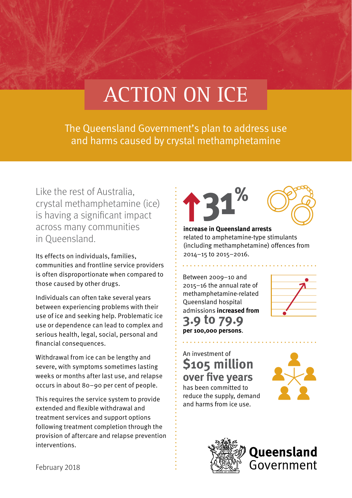# ACTION ON ICE

The Queensland Government's plan to address use and harms caused by crystal methamphetamine

Like the rest of Australia, crystal methamphetamine (ice) is having a significant impact across many communities in Queensland.

Its effects on individuals, families, communities and frontline service providers is often disproportionate when compared to those caused by other drugs.

Individuals can often take several years between experiencing problems with their use of ice and seeking help. Problematic ice use or dependence can lead to complex and serious health, legal, social, personal and financial consequences.

Withdrawal from ice can be lengthy and severe, with symptoms sometimes lasting weeks or months after last use, and relapse occurs in about 80–90 per cent of people.

This requires the service system to provide extended and flexible withdrawal and treatment services and support options following treatment completion through the provision of aftercare and relapse prevention interventions.



#### **increase in Queensland arrests** related to amphetamine-type stimulants (including methamphetamine) offences from 2014–15 to 2015–2016.

Between 2009–10 and 2015–16 the annual rate of methamphetamine-related Queensland hospital admissions **increased from 3.9 to 79.9 per 100,000 persons**.



### An investment of **\$105 million over five years**

has been committed to reduce the supply, demand and harms from ice use.





February 2018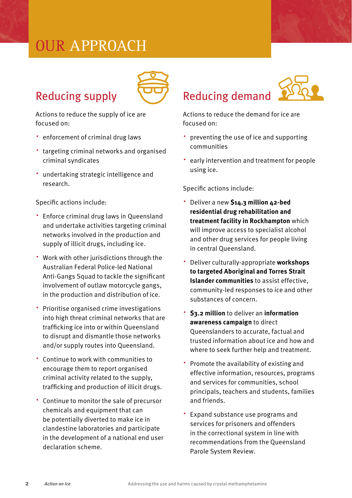# OUR APPROACH



Actions to reduce the supply of ice are focused on:

Reducing supply

- ∧ enforcement of criminal drug laws
- ∧ targeting criminal networks and organised criminal syndicates
- ∧ undertaking strategic intelligence and research.

Specific actions include:

- ∧ Enforce criminal drug laws in Queensland and undertake activities targeting criminal networks involved in the production and supply of illicit drugs, including ice.
- ∧ Work with other jurisdictions through the Australian Federal Police-led National Anti-Gangs Squad to tackle the significant involvement of outlaw motorcycle gangs, in the production and distribution of ice.
- ∧ Prioritise organised crime investigations into high threat criminal networks that are trafficking ice into or within Queensland to disrupt and dismantle those networks and/or supply routes into Queensland.
- ∧ Continue to work with communities to encourage them to report organised criminal activity related to the supply, trafficking and production of illicit drugs.
- ∧ Continue to monitor the sale of precursor chemicals and equipment that can be potentially diverted to make ice in clandestine laboratories and participate in the development of a national end user declaration scheme.

## Reducing demand



Actions to reduce the demand for ice are focused on:

- ∧ preventing the use of ice and supporting communities
- ∧ early intervention and treatment for people using ice.

Specific actions include:

- ∧ Deliver a new **\$14.3 million 42-bed residential drug rehabilitation and treatment facility in Rockhampton** which will improve access to specialist alcohol and other drug services for people living in central Queensland.
- ∧ Deliver culturally-appropriate **workshops to targeted Aboriginal and Torres Strait Islander communities** to assist effective, community-led responses to ice and other substances of concern.
- ∧ **\$3.2 million** to deliver an **information awareness campaign** to direct Queenslanders to accurate, factual and trusted information about ice and how and where to seek further help and treatment.
- ∧ Promote the availability of existing and effective information, resources, programs and services for communities, school principals, teachers and students, families and friends.
- ∧ Expand substance use programs and services for prisoners and offenders in the correctional system in line with recommendations from the Queensland Parole System Review.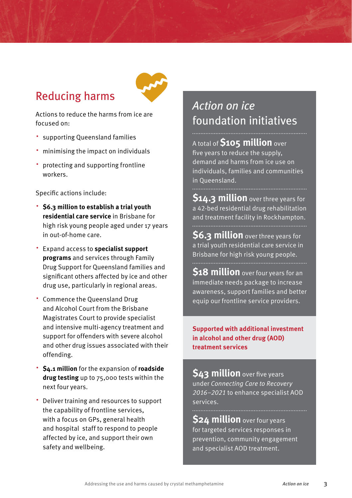### Reducing harms



Actions to reduce the harms from ice are focused on:

- ∧ supporting Queensland families
- ∧ minimising the impact on individuals
- ∧ protecting and supporting frontline workers.

Specific actions include:

- ∧ **\$6.3 million to establish a trial youth residential care service** in Brisbane for high risk young people aged under 17 years in out-of-home care.
- ∧ Expand access to **specialist support programs** and services through Family Drug Support for Queensland families and significant others affected by ice and other drug use, particularly in regional areas.
- ∧ Commence the Queensland Drug and Alcohol Court from the Brisbane Magistrates Court to provide specialist and intensive multi-agency treatment and support for offenders with severe alcohol and other drug issues associated with their offending.
- ∧ **\$4.1 million** for the expansion of **roadside drug testing** up to 75,000 tests within the next four years.
- ∧ Deliver training and resources to support the capability of frontline services, with a focus on GPs, general health and hospital staff to respond to people affected by ice, and support their own safety and wellbeing.

### *Action on ice*  foundation initiatives

A total of **\$105 million** over five years to reduce the supply, demand and harms from ice use on individuals, families and communities in Queensland.

**\$14.3 million** over three years for a 42-bed residential drug rehabilitation and treatment facility in Rockhampton.

**\$6.3 million** over three years for a trial youth residential care service in Brisbane for high risk young people.

**\$18 million** over four years for an immediate needs package to increase awareness, support families and better equip our frontline service providers.

#### **Supported with additional investment in alcohol and other drug (AOD) treatment services**

**\$43 million** over five years under *Connecting Care to Recovery 2016–2021* to enhance specialist AOD services.

**\$24 million** over four years for targeted services responses in prevention, community engagement and specialist AOD treatment.